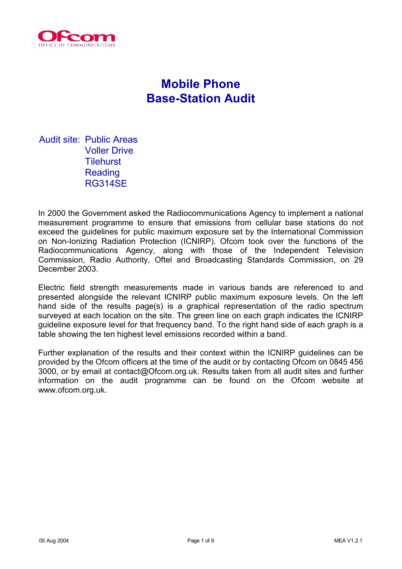

# **Mobile Phone Base-Station Audit**

Audit site: Public Areas Voller Drive Tilehurst Reading RG314SE

In 2000 the Government asked the Radiocommunications Agency to implement a national measurement programme to ensure that emissions from cellular base stations do not exceed the guidelines for public maximum exposure set by the International Commission on Non-Ionizing Radiation Protection (ICNIRP). Ofcom took over the functions of the Radiocommunications Agency, along with those of the Independent Television Commission, Radio Authority, Oftel and Broadcasting Standards Commission, on 29 December 2003.

Electric field strength measurements made in various bands are referenced to and presented alongside the relevant ICNIRP public maximum exposure levels. On the left hand side of the results page(s) is a graphical representation of the radio spectrum surveyed at each location on the site. The green line on each graph indicates the ICNIRP guideline exposure level for that frequency band. To the right hand side of each graph is a table showing the ten highest level emissions recorded within a band.

Further explanation of the results and their context within the ICNIRP guidelines can be provided by the Ofcom officers at the time of the audit or by contacting Ofcom on 0845 456 3000, or by email at contact@Ofcom.org.uk. Results taken from all audit sites and further information on the audit programme can be found on the Ofcom website at www.ofcom.org.uk.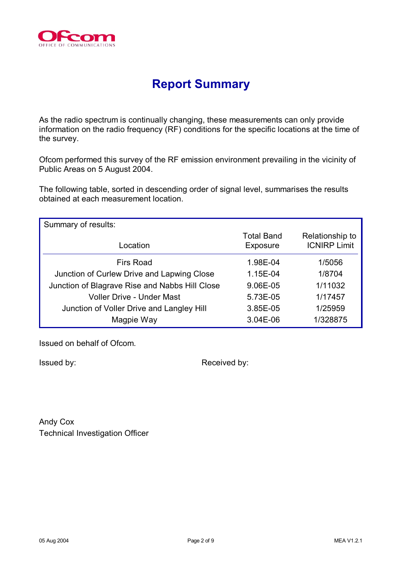

## **Report Summary**

As the radio spectrum is continually changing, these measurements can only provide information on the radio frequency (RF) conditions for the specific locations at the time of the survey.

Ofcom performed this survey of the RF emission environment prevailing in the vicinity of Public Areas on 5 August 2004.

The following table, sorted in descending order of signal level, summarises the results obtained at each measurement location.

| Summary of results:                            |                               |                                        |  |
|------------------------------------------------|-------------------------------|----------------------------------------|--|
| Location                                       | <b>Total Band</b><br>Exposure | Relationship to<br><b>ICNIRP Limit</b> |  |
| <b>Firs Road</b>                               | 1.98E-04                      | 1/5056                                 |  |
| Junction of Curlew Drive and Lapwing Close     | 1.15E-04                      | 1/8704                                 |  |
| Junction of Blagrave Rise and Nabbs Hill Close | 9.06E-05                      | 1/11032                                |  |
| <b>Voller Drive - Under Mast</b>               | 5.73E-05                      | 1/17457                                |  |
| Junction of Voller Drive and Langley Hill      | 3.85E-05                      | 1/25959                                |  |
| Magpie Way                                     | 3.04E-06                      | 1/328875                               |  |

Issued on behalf of Ofcom.

Issued by: **Received by:** Received by:

Andy Cox Technical Investigation Officer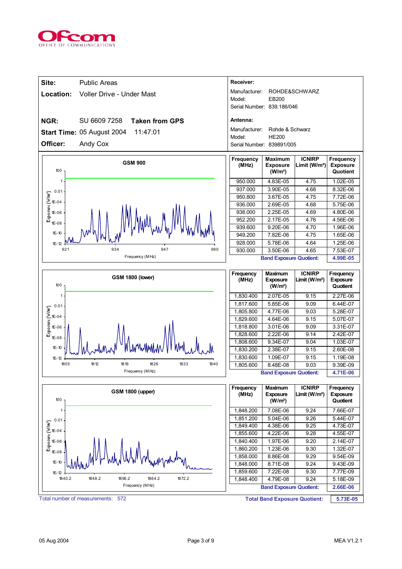

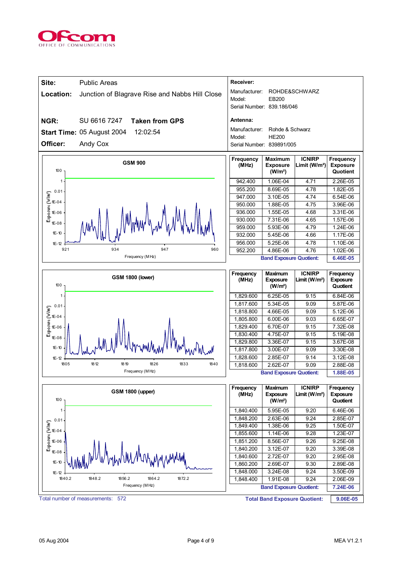

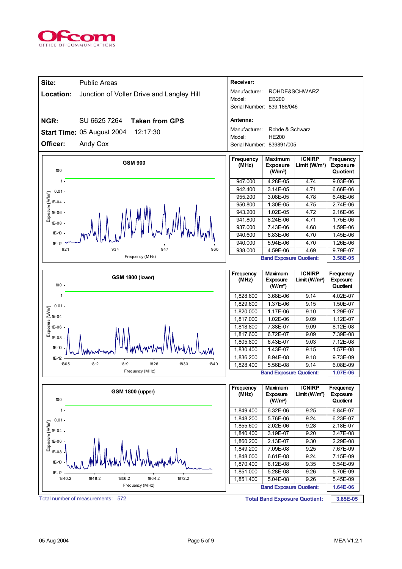

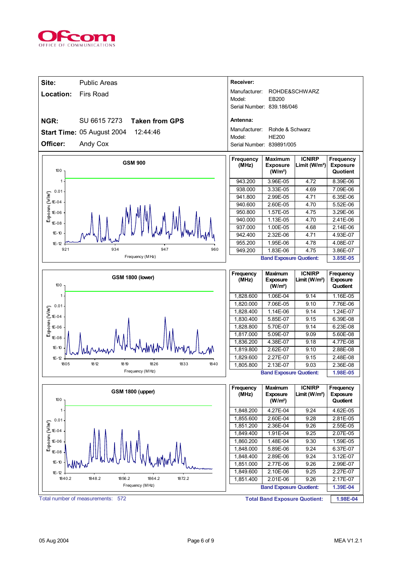

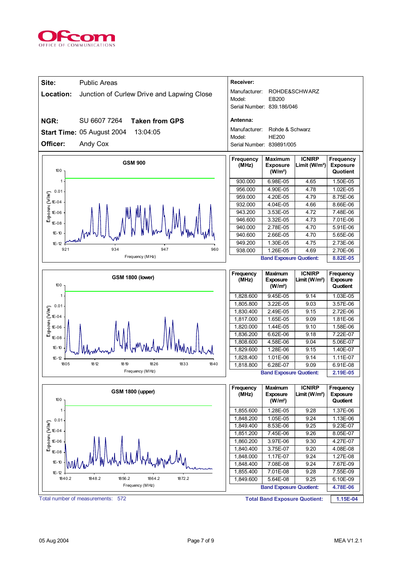

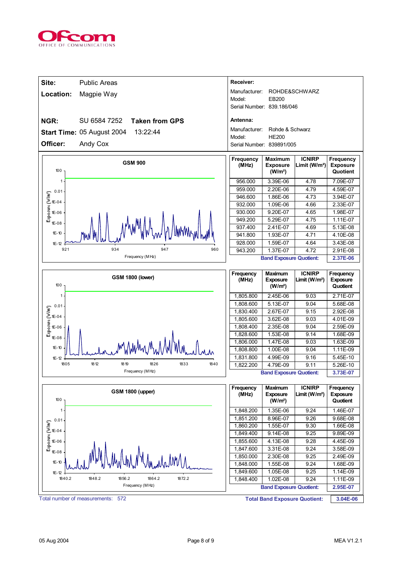